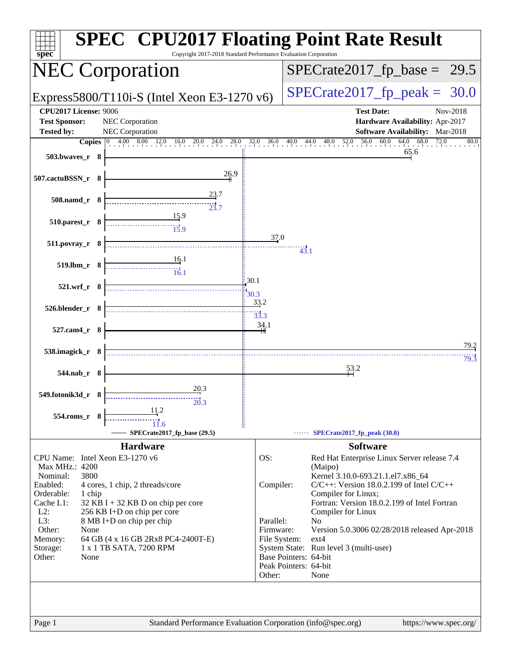| Copyright 2017-2018 Standard Performance Evaluation Corporation<br>spec <sup>®</sup>                                                                                                                                                                                                                                                                                                                       | <b>SPEC<sup>®</sup> CPU2017 Floating Point Rate Result</b>                                                                                                                                                                                                                                                                                                                                                                                                                                           |
|------------------------------------------------------------------------------------------------------------------------------------------------------------------------------------------------------------------------------------------------------------------------------------------------------------------------------------------------------------------------------------------------------------|------------------------------------------------------------------------------------------------------------------------------------------------------------------------------------------------------------------------------------------------------------------------------------------------------------------------------------------------------------------------------------------------------------------------------------------------------------------------------------------------------|
| <b>NEC Corporation</b>                                                                                                                                                                                                                                                                                                                                                                                     | $SPECrate2017_fp\_base = 29.5$                                                                                                                                                                                                                                                                                                                                                                                                                                                                       |
| Express5800/T110i-S (Intel Xeon E3-1270 $v6$ )                                                                                                                                                                                                                                                                                                                                                             | $SPECrate2017_fp\_peak = 30.0$                                                                                                                                                                                                                                                                                                                                                                                                                                                                       |
| <b>CPU2017 License: 9006</b><br><b>Test Sponsor:</b><br>NEC Corporation<br><b>Tested by:</b><br>NEC Corporation<br>503.bwaves_r 8                                                                                                                                                                                                                                                                          | <b>Test Date:</b><br>Nov-2018<br>Hardware Availability: Apr-2017<br><b>Software Availability:</b> Mar-2018<br><b>Copies</b> $\begin{bmatrix} 0 & 4.00 & 8.00 & 12.0 & 16.0 & 20.0 & 24.0 & 28.0 & 32.0 & 36.0 & 40.0 & 44.0 & 48.0 & 52.0 & 56.0 & 60.0 & 64.0 & 68.0 \end{bmatrix}$<br>72.0<br>80.0<br>65.6                                                                                                                                                                                         |
| 26.9<br>507.cactuBSSN_r 8                                                                                                                                                                                                                                                                                                                                                                                  |                                                                                                                                                                                                                                                                                                                                                                                                                                                                                                      |
| 23.7<br>508.namd_r 8<br>23.7                                                                                                                                                                                                                                                                                                                                                                               |                                                                                                                                                                                                                                                                                                                                                                                                                                                                                                      |
| 15.9<br>510.parest_r 8<br>$\frac{11}{15.9}$                                                                                                                                                                                                                                                                                                                                                                |                                                                                                                                                                                                                                                                                                                                                                                                                                                                                                      |
| 511.povray_r 8<br>16.1                                                                                                                                                                                                                                                                                                                                                                                     | 37.0<br>43.1                                                                                                                                                                                                                                                                                                                                                                                                                                                                                         |
| 519.lbm_r 8<br>$\frac{1}{16.1}$<br>30.1                                                                                                                                                                                                                                                                                                                                                                    |                                                                                                                                                                                                                                                                                                                                                                                                                                                                                                      |
| 521.wrf_r 8<br>30.3<br>526.blender_r 8                                                                                                                                                                                                                                                                                                                                                                     | 33.2                                                                                                                                                                                                                                                                                                                                                                                                                                                                                                 |
| 527.cam4_r 8                                                                                                                                                                                                                                                                                                                                                                                               | $\frac{1}{33.3}$<br><u>34</u> .1                                                                                                                                                                                                                                                                                                                                                                                                                                                                     |
| 538.imagick_r 8                                                                                                                                                                                                                                                                                                                                                                                            | 79.2                                                                                                                                                                                                                                                                                                                                                                                                                                                                                                 |
| 544.nab r 8                                                                                                                                                                                                                                                                                                                                                                                                | 79.3<br>53.2                                                                                                                                                                                                                                                                                                                                                                                                                                                                                         |
| 20.3<br>549.fotonik3d_r 8<br>20.3<br>11.2<br>554.roms_r<br>SPECrate2017_fp_base (29.5)                                                                                                                                                                                                                                                                                                                     | $\cdots$ SPECrate2017_fp_peak (30.0)                                                                                                                                                                                                                                                                                                                                                                                                                                                                 |
| <b>Hardware</b>                                                                                                                                                                                                                                                                                                                                                                                            | <b>Software</b>                                                                                                                                                                                                                                                                                                                                                                                                                                                                                      |
| CPU Name: Intel Xeon E3-1270 v6<br>Max MHz.: 4200<br>3800<br>Nominal:<br>Enabled:<br>4 cores, 1 chip, 2 threads/core<br>Orderable:<br>1 chip<br>Cache L1:<br>$32$ KB I + 32 KB D on chip per core<br>$L2$ :<br>256 KB I+D on chip per core<br>L3:<br>8 MB I+D on chip per chip<br>Other:<br>None<br>Memory:<br>64 GB (4 x 16 GB 2Rx8 PC4-2400T-E)<br>1 x 1 TB SATA, 7200 RPM<br>Storage:<br>Other:<br>None | OS:<br>Red Hat Enterprise Linux Server release 7.4<br>(Maipo)<br>Kernel 3.10.0-693.21.1.el7.x86_64<br>$C/C++$ : Version 18.0.2.199 of Intel $C/C++$<br>Compiler:<br>Compiler for Linux;<br>Fortran: Version 18.0.2.199 of Intel Fortran<br>Compiler for Linux<br>Parallel:<br>N <sub>0</sub><br>Firmware:<br>Version 5.0.3006 02/28/2018 released Apr-2018<br>File System:<br>$ext{4}$<br>System State: Run level 3 (multi-user)<br>Base Pointers: 64-bit<br>Peak Pointers: 64-bit<br>Other:<br>None |
| Standard Performance Evaluation Corporation (info@spec.org)<br>Page 1                                                                                                                                                                                                                                                                                                                                      | https://www.spec.org/                                                                                                                                                                                                                                                                                                                                                                                                                                                                                |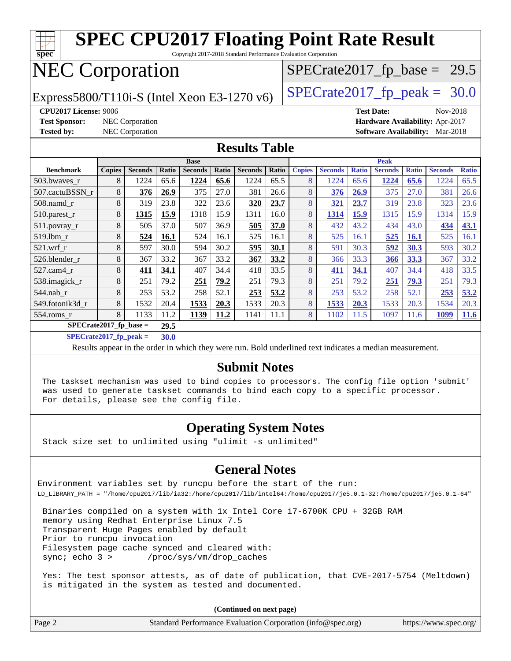| <b>SPEC CPU2017 Floating Point Rate Result</b><br>$spec^*$<br>Copyright 2017-2018 Standard Performance Evaluation Corporation |               |                        |       |                |       |                |       |               |                                |              |                   |              |                                 |              |
|-------------------------------------------------------------------------------------------------------------------------------|---------------|------------------------|-------|----------------|-------|----------------|-------|---------------|--------------------------------|--------------|-------------------|--------------|---------------------------------|--------------|
| <b>NEC Corporation</b>                                                                                                        |               |                        |       |                |       |                |       |               | $SPECrate2017_fp\_base = 29.5$ |              |                   |              |                                 |              |
| Express5800/T110i-S (Intel Xeon E3-1270 v6)                                                                                   |               |                        |       |                |       |                |       |               | $SPECrate2017_fp\_peak = 30.0$ |              |                   |              |                                 |              |
| <b>CPU2017 License: 9006</b>                                                                                                  |               |                        |       |                |       |                |       |               |                                |              | <b>Test Date:</b> |              | Nov-2018                        |              |
| <b>Test Sponsor:</b>                                                                                                          |               | NEC Corporation        |       |                |       |                |       |               |                                |              |                   |              | Hardware Availability: Apr-2017 |              |
| <b>Tested by:</b>                                                                                                             |               | <b>NEC Corporation</b> |       |                |       |                |       |               |                                |              |                   |              | Software Availability: Mar-2018 |              |
| <b>Results Table</b>                                                                                                          |               |                        |       |                |       |                |       |               |                                |              |                   |              |                                 |              |
| <b>Base</b>                                                                                                                   |               |                        |       |                |       |                |       | <b>Peak</b>   |                                |              |                   |              |                                 |              |
| <b>Benchmark</b>                                                                                                              | <b>Copies</b> | <b>Seconds</b>         | Ratio | <b>Seconds</b> | Ratio | <b>Seconds</b> | Ratio | <b>Copies</b> | <b>Seconds</b>                 | <b>Ratio</b> | <b>Seconds</b>    | <b>Ratio</b> | <b>Seconds</b>                  | <b>Ratio</b> |
| 503.bwaves r                                                                                                                  | 8             | 1224                   | 65.6  | 1224           | 65.6  | 1224           | 65.5  | 8             | 1224                           | 65.6         | 1224              | 65.6         | 1224                            | 65.5         |
| 507.cactuBSSN r                                                                                                               | 8             | 376                    | 26.9  | 375            | 27.0  | 381            | 26.6  | 8             | 376                            | 26.9         | 375               | 27.0         | 381                             | 26.6         |
| 508.namd_r                                                                                                                    | 8             | 319                    | 23.8  | 322            | 23.6  | 320            | 23.7  | 8             | 321                            | 23.7         | 319               | 23.8         | 323                             | 23.6         |
| 510.parest_r                                                                                                                  | 8             | 1315                   | 15.9  | 1318           | 15.9  | 1311           | 16.0  | 8             | 1314                           | 15.9         | 1315              | 15.9         | 1314                            | 15.9         |
| 511.povray_r                                                                                                                  | 8             | 505                    | 37.0  | 507            | 36.9  | 505            | 37.0  | 8             | 432                            | 43.2         | 434               | 43.0         | 434                             | 43.1         |
| 519.1bm r                                                                                                                     | 8             | 524                    | 16.1  | 524            | 16.1  | 525            | 16.1  | 8             | 525                            | 16.1         | 525               | <b>16.1</b>  | 525                             | 16.1         |
| 521.wrf r                                                                                                                     | 8             | 597                    | 30.0  | 594            | 30.2  | 595            | 30.1  | 8             | 591                            | 30.3         | 592               | 30.3         | 593                             | 30.2         |
| 526.blender r                                                                                                                 | 8             | 367                    | 33.2  | 367            | 33.2  | 367            | 33.2  | 8             | 366                            | 33.3         | 366               | 33.3         | 367                             | 33.2         |
| $527$ .cam $4r$                                                                                                               | 8             | 411                    | 34.1  | 407            | 34.4  | 418            | 33.5  | 8             | 411                            | 34.1         | 407               | 34.4         | 418                             | 33.5         |
| 538.imagick_r                                                                                                                 | 8             | 251                    | 79.2  | 251            | 79.2  | 251            | 79.3  | 8             | 251                            | 79.2         | 251               | 79.3         | 251                             | 79.3         |
| 544.nab r                                                                                                                     | 8             | 253                    | 53.2  | 258            | 52.1  | 253            | 53.2  | 8             | 253                            | 53.2         | 258               | 52.1         | 253                             | 53.2         |
| 549.fotonik3d r                                                                                                               | 8             | 1532                   | 20.4  | 1533           | 20.3  | 1533           | 20.3  | 8             | 1533                           | 20.3         | 1533              | 20.3         | 1534                            | 20.3         |
| 554.roms r                                                                                                                    | 8             | 1133                   | 11.2  | 1139           | 11.2  | 1141           | 11.1  | 8             | 1102                           | 11.5         | 1097              | 11.6         | 1099                            | 11.6         |
| SPECrate2017 fp base $=$<br>29.5                                                                                              |               |                        |       |                |       |                |       |               |                                |              |                   |              |                                 |              |
| $SPECrate2017_fp_peak =$<br>30.0                                                                                              |               |                        |       |                |       |                |       |               |                                |              |                   |              |                                 |              |

Results appear in the [order in which they were run](http://www.spec.org/auto/cpu2017/Docs/result-fields.html#RunOrder). Bold underlined text [indicates a median measurement](http://www.spec.org/auto/cpu2017/Docs/result-fields.html#Median).

#### **[Submit Notes](http://www.spec.org/auto/cpu2017/Docs/result-fields.html#SubmitNotes)**

 The taskset mechanism was used to bind copies to processors. The config file option 'submit' was used to generate taskset commands to bind each copy to a specific processor. For details, please see the config file.

#### **[Operating System Notes](http://www.spec.org/auto/cpu2017/Docs/result-fields.html#OperatingSystemNotes)**

Stack size set to unlimited using "ulimit -s unlimited"

#### **[General Notes](http://www.spec.org/auto/cpu2017/Docs/result-fields.html#GeneralNotes)**

Environment variables set by runcpu before the start of the run: LD\_LIBRARY\_PATH = "/home/cpu2017/lib/ia32:/home/cpu2017/lib/intel64:/home/cpu2017/je5.0.1-32:/home/cpu2017/je5.0.1-64"

 Binaries compiled on a system with 1x Intel Core i7-6700K CPU + 32GB RAM memory using Redhat Enterprise Linux 7.5 Transparent Huge Pages enabled by default Prior to runcpu invocation Filesystem page cache synced and cleared with: sync; echo 3 > /proc/sys/vm/drop\_caches

 Yes: The test sponsor attests, as of date of publication, that CVE-2017-5754 (Meltdown) is mitigated in the system as tested and documented.

**(Continued on next page)**

| Page 2 | Standard Performance Evaluation Corporation (info@spec.org) | https://www.spec.org/ |
|--------|-------------------------------------------------------------|-----------------------|
|--------|-------------------------------------------------------------|-----------------------|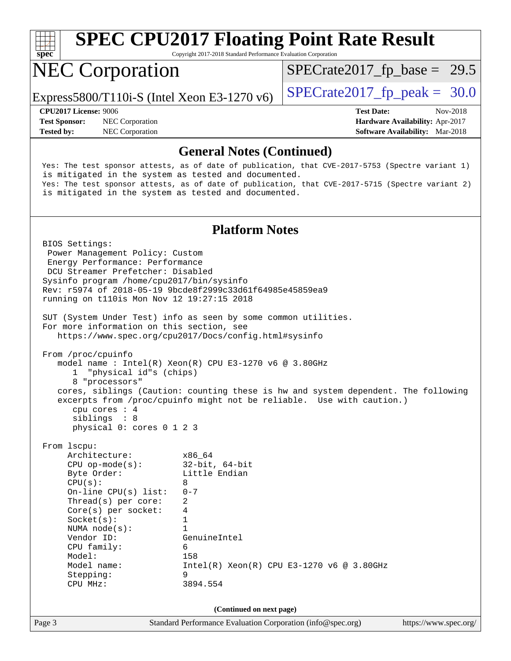| $Spec^*$                                                                                                                                                                                                                                                                                                                                                                                                                                                                                                                                                                                                                                                                                                                                                                                                                      | Copyright 2017-2018 Standard Performance Evaluation Corporation                                                                  | <b>SPEC CPU2017 Floating Point Rate Result</b> |                                                                                |
|-------------------------------------------------------------------------------------------------------------------------------------------------------------------------------------------------------------------------------------------------------------------------------------------------------------------------------------------------------------------------------------------------------------------------------------------------------------------------------------------------------------------------------------------------------------------------------------------------------------------------------------------------------------------------------------------------------------------------------------------------------------------------------------------------------------------------------|----------------------------------------------------------------------------------------------------------------------------------|------------------------------------------------|--------------------------------------------------------------------------------|
| <b>NEC Corporation</b>                                                                                                                                                                                                                                                                                                                                                                                                                                                                                                                                                                                                                                                                                                                                                                                                        |                                                                                                                                  | $SPECTate2017_fp\_base = 29.5$                 |                                                                                |
| Express5800/T110i-S (Intel Xeon E3-1270 $v6$ )                                                                                                                                                                                                                                                                                                                                                                                                                                                                                                                                                                                                                                                                                                                                                                                |                                                                                                                                  | $SPECTate2017$ _fp_peak = 30.0                 |                                                                                |
| CPU2017 License: 9006<br><b>Test Sponsor:</b><br>NEC Corporation<br>NEC Corporation<br><b>Tested by:</b>                                                                                                                                                                                                                                                                                                                                                                                                                                                                                                                                                                                                                                                                                                                      |                                                                                                                                  | <b>Test Date:</b>                              | Nov-2018<br>Hardware Availability: Apr-2017<br>Software Availability: Mar-2018 |
|                                                                                                                                                                                                                                                                                                                                                                                                                                                                                                                                                                                                                                                                                                                                                                                                                               | <b>General Notes (Continued)</b>                                                                                                 |                                                |                                                                                |
| Yes: The test sponsor attests, as of date of publication, that CVE-2017-5753 (Spectre variant 1)<br>is mitigated in the system as tested and documented.<br>Yes: The test sponsor attests, as of date of publication, that CVE-2017-5715 (Spectre variant 2)<br>is mitigated in the system as tested and documented.                                                                                                                                                                                                                                                                                                                                                                                                                                                                                                          |                                                                                                                                  |                                                |                                                                                |
|                                                                                                                                                                                                                                                                                                                                                                                                                                                                                                                                                                                                                                                                                                                                                                                                                               | <b>Platform Notes</b>                                                                                                            |                                                |                                                                                |
| BIOS Settings:<br>Power Management Policy: Custom<br>Energy Performance: Performance<br>DCU Streamer Prefetcher: Disabled<br>Sysinfo program /home/cpu2017/bin/sysinfo<br>Rev: r5974 of 2018-05-19 9bcde8f2999c33d61f64985e45859ea9<br>running on t110is Mon Nov 12 19:27:15 2018<br>SUT (System Under Test) info as seen by some common utilities.<br>For more information on this section, see<br>https://www.spec.org/cpu2017/Docs/config.html#sysinfo<br>From /proc/cpuinfo<br>model name: $Intel(R)$ Xeon $(R)$ CPU E3-1270 v6 @ 3.80GHz<br>"physical id"s (chips)<br>1<br>8 "processors"<br>cores, siblings (Caution: counting these is hw and system dependent. The following<br>excerpts from /proc/cpuinfo might not be reliable. Use with caution.)<br>cpu cores $: 4$<br>siblings : 8<br>physical 0: cores 0 1 2 3 |                                                                                                                                  |                                                |                                                                                |
| From lscpu:<br>Architecture:<br>$CPU$ op-mode(s):<br>Byte Order:<br>CPU(s):<br>On-line CPU(s) list:<br>Thread(s) per core:<br>Core(s) per socket:<br>Socket(s):<br>NUMA $node(s)$ :<br>Vendor ID:<br>CPU family:<br>Model:<br>Model name:<br>Stepping:<br>CPU MHz:                                                                                                                                                                                                                                                                                                                                                                                                                                                                                                                                                            | x86_64<br>$32$ -bit, $64$ -bit<br>Little Endian<br>8<br>$0 - 7$<br>2<br>4<br>1<br>1<br>GenuineIntel<br>6<br>158<br>9<br>3894.554 | $Intel(R) Xeon(R) CPU E3-1270 v6 @ 3.80GHz$    |                                                                                |
|                                                                                                                                                                                                                                                                                                                                                                                                                                                                                                                                                                                                                                                                                                                                                                                                                               | (Continued on next page)                                                                                                         |                                                |                                                                                |
| Page 3                                                                                                                                                                                                                                                                                                                                                                                                                                                                                                                                                                                                                                                                                                                                                                                                                        | Standard Performance Evaluation Corporation (info@spec.org)                                                                      |                                                | https://www.spec.org/                                                          |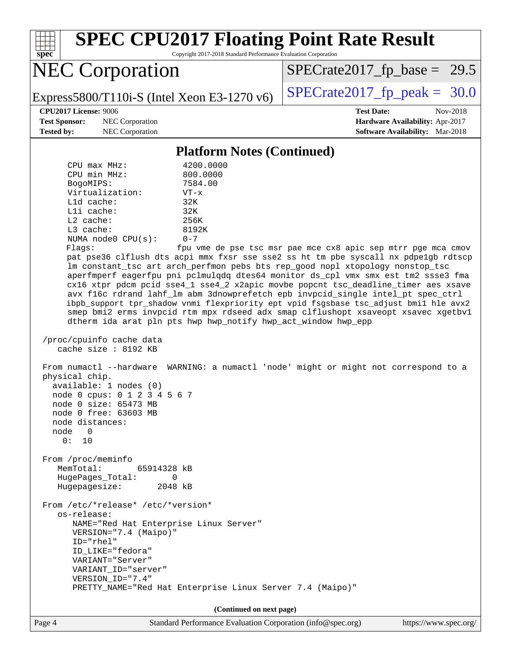

Page 4 Standard Performance Evaluation Corporation [\(info@spec.org\)](mailto:info@spec.org) <https://www.spec.org/>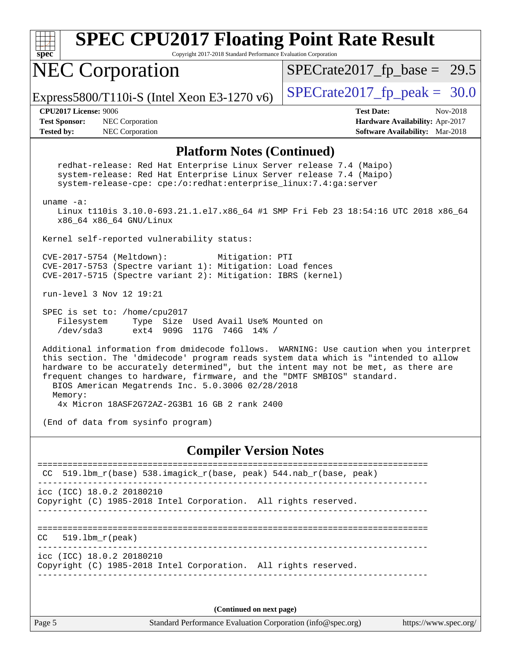| spec                                                                                                                                                                                                                                                                                                                                                                                                | <b>SPEC CPU2017 Floating Point Rate Result</b><br>Copyright 2017-2018 Standard Performance Evaluation Corporation                                                                                              |                                                                                                     |  |  |  |  |
|-----------------------------------------------------------------------------------------------------------------------------------------------------------------------------------------------------------------------------------------------------------------------------------------------------------------------------------------------------------------------------------------------------|----------------------------------------------------------------------------------------------------------------------------------------------------------------------------------------------------------------|-----------------------------------------------------------------------------------------------------|--|--|--|--|
|                                                                                                                                                                                                                                                                                                                                                                                                     | <b>NEC Corporation</b>                                                                                                                                                                                         | $SPECTate2017_fp\_base = 29.5$                                                                      |  |  |  |  |
| Express5800/T110i-S (Intel Xeon E3-1270 $v6$ )                                                                                                                                                                                                                                                                                                                                                      |                                                                                                                                                                                                                | $SPECrate2017_fp\_peak = 30.0$                                                                      |  |  |  |  |
| CPU2017 License: 9006<br><b>Test Sponsor:</b><br><b>Tested by:</b>                                                                                                                                                                                                                                                                                                                                  | NEC Corporation<br>NEC Corporation                                                                                                                                                                             | <b>Test Date:</b><br>Nov-2018<br>Hardware Availability: Apr-2017<br>Software Availability: Mar-2018 |  |  |  |  |
|                                                                                                                                                                                                                                                                                                                                                                                                     | <b>Platform Notes (Continued)</b>                                                                                                                                                                              |                                                                                                     |  |  |  |  |
| uname $-a$ :                                                                                                                                                                                                                                                                                                                                                                                        | redhat-release: Red Hat Enterprise Linux Server release 7.4 (Maipo)<br>system-release: Red Hat Enterprise Linux Server release 7.4 (Maipo)<br>system-release-cpe: cpe:/o:redhat:enterprise_linux:7.4:ga:server |                                                                                                     |  |  |  |  |
|                                                                                                                                                                                                                                                                                                                                                                                                     | Linux t110is 3.10.0-693.21.1.el7.x86_64 #1 SMP Fri Feb 23 18:54:16 UTC 2018 x86_64<br>x86_64 x86_64 GNU/Linux                                                                                                  |                                                                                                     |  |  |  |  |
|                                                                                                                                                                                                                                                                                                                                                                                                     | Kernel self-reported vulnerability status:                                                                                                                                                                     |                                                                                                     |  |  |  |  |
|                                                                                                                                                                                                                                                                                                                                                                                                     | CVE-2017-5754 (Meltdown):<br>Mitigation: PTI<br>CVE-2017-5753 (Spectre variant 1): Mitigation: Load fences<br>CVE-2017-5715 (Spectre variant 2): Mitigation: IBRS (kernel)                                     |                                                                                                     |  |  |  |  |
|                                                                                                                                                                                                                                                                                                                                                                                                     | run-level 3 Nov 12 19:21                                                                                                                                                                                       |                                                                                                     |  |  |  |  |
|                                                                                                                                                                                                                                                                                                                                                                                                     | SPEC is set to: /home/cpu2017<br>Filesystem<br>Type Size Used Avail Use% Mounted on<br>/dev/sda3<br>ext4 909G 117G 746G 14% /                                                                                  |                                                                                                     |  |  |  |  |
| Additional information from dmidecode follows. WARNING: Use caution when you interpret<br>this section. The 'dmidecode' program reads system data which is "intended to allow<br>hardware to be accurately determined", but the intent may not be met, as there are<br>frequent changes to hardware, firmware, and the "DMTF SMBIOS" standard.<br>BIOS American Megatrends Inc. 5.0.3006 02/28/2018 |                                                                                                                                                                                                                |                                                                                                     |  |  |  |  |
| Memory:<br>4x Micron 18ASF2G72AZ-2G3B1 16 GB 2 rank 2400                                                                                                                                                                                                                                                                                                                                            |                                                                                                                                                                                                                |                                                                                                     |  |  |  |  |
| (End of data from sysinfo program)                                                                                                                                                                                                                                                                                                                                                                  |                                                                                                                                                                                                                |                                                                                                     |  |  |  |  |
|                                                                                                                                                                                                                                                                                                                                                                                                     | <b>Compiler Version Notes</b>                                                                                                                                                                                  |                                                                                                     |  |  |  |  |
|                                                                                                                                                                                                                                                                                                                                                                                                     | 519.1bm_r(base) 538.imagick_r(base, peak) 544.nab_r(base, peak)                                                                                                                                                |                                                                                                     |  |  |  |  |
| icc (ICC) 18.0.2 20180210<br>Copyright (C) 1985-2018 Intel Corporation. All rights reserved.                                                                                                                                                                                                                                                                                                        |                                                                                                                                                                                                                |                                                                                                     |  |  |  |  |
| CC.                                                                                                                                                                                                                                                                                                                                                                                                 | $519.1bm_r(peak)$                                                                                                                                                                                              |                                                                                                     |  |  |  |  |
| icc (ICC) 18.0.2 20180210<br>Copyright (C) 1985-2018 Intel Corporation. All rights reserved.                                                                                                                                                                                                                                                                                                        |                                                                                                                                                                                                                |                                                                                                     |  |  |  |  |
| (Continued on next page)                                                                                                                                                                                                                                                                                                                                                                            |                                                                                                                                                                                                                |                                                                                                     |  |  |  |  |

Page 5 Standard Performance Evaluation Corporation [\(info@spec.org\)](mailto:info@spec.org) <https://www.spec.org/>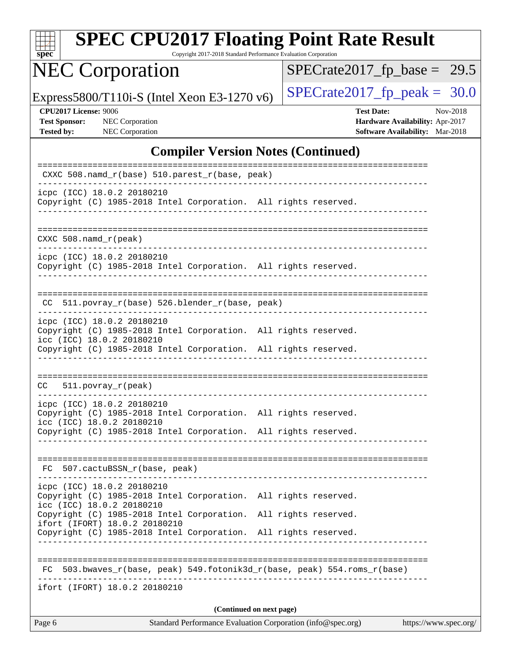| SI<br>pe<br>Ľ |  |  |  |  |  |
|---------------|--|--|--|--|--|

Copyright 2017-2018 Standard Performance Evaluation Corporation

# NEC Corporation

 $SPECrate2017_fp\_base = 29.5$ 

Express5800/T110i-S (Intel Xeon E3-1270 v6) [SPECrate2017\\_fp\\_peak =](http://www.spec.org/auto/cpu2017/Docs/result-fields.html#SPECrate2017fppeak)  $30.0$ 

**[Tested by:](http://www.spec.org/auto/cpu2017/Docs/result-fields.html#Testedby)** NEC Corporation **[Software Availability:](http://www.spec.org/auto/cpu2017/Docs/result-fields.html#SoftwareAvailability)** Mar-2018

**[CPU2017 License:](http://www.spec.org/auto/cpu2017/Docs/result-fields.html#CPU2017License)** 9006 **[Test Date:](http://www.spec.org/auto/cpu2017/Docs/result-fields.html#TestDate)** Nov-2018 **[Test Sponsor:](http://www.spec.org/auto/cpu2017/Docs/result-fields.html#TestSponsor)** NEC Corporation **[Hardware Availability:](http://www.spec.org/auto/cpu2017/Docs/result-fields.html#HardwareAvailability)** Apr-2017

#### **[Compiler Version Notes \(Continued\)](http://www.spec.org/auto/cpu2017/Docs/result-fields.html#CompilerVersionNotes)**

| CXXC 508.namd_r(base) 510.parest_r(base, peak)                                                                                                                                                                   |
|------------------------------------------------------------------------------------------------------------------------------------------------------------------------------------------------------------------|
| icpc (ICC) 18.0.2 20180210<br>Copyright (C) 1985-2018 Intel Corporation. All rights reserved.<br>-------------------------------                                                                                 |
| $CXXC 508.namd_r (peak)$                                                                                                                                                                                         |
| icpc (ICC) 18.0.2 20180210<br>Copyright (C) 1985-2018 Intel Corporation. All rights reserved.                                                                                                                    |
| CC 511.povray_r(base) 526.blender_r(base, peak)                                                                                                                                                                  |
| icpc (ICC) 18.0.2 20180210<br>Copyright (C) 1985-2018 Intel Corporation. All rights reserved.<br>icc (ICC) 18.0.2 20180210                                                                                       |
| Copyright (C) 1985-2018 Intel Corporation. All rights reserved.                                                                                                                                                  |
| $CC = 511.povray_r (peak)$                                                                                                                                                                                       |
| icpc (ICC) 18.0.2 20180210<br>Copyright (C) 1985-2018 Intel Corporation. All rights reserved.<br>icc (ICC) 18.0.2 20180210<br>Copyright (C) 1985-2018 Intel Corporation. All rights reserved.<br>_______________ |
| FC 507.cactuBSSN_r(base, peak)                                                                                                                                                                                   |
| icpc (ICC) 18.0.2 20180210<br>Copyright (C) 1985-2018 Intel Corporation. All rights reserved.<br>icc (ICC) 18.0.2 20180210                                                                                       |
| Copyright (C) 1985-2018 Intel Corporation. All rights reserved.<br>ifort (IFORT) 18.0.2 20180210<br>Copyright (C) 1985-2018 Intel Corporation. All rights reserved.                                              |
| 503.bwaves_r(base, peak) 549.fotonik3d_r(base, peak) 554.roms_r(base)<br>FC.                                                                                                                                     |
| ifort (IFORT) 18.0.2 20180210                                                                                                                                                                                    |
| (Continued on next page)<br>Standard Performance Evaluation Corporation (info@spec.org)<br>Page 6<br>https://www.spec.org/                                                                                       |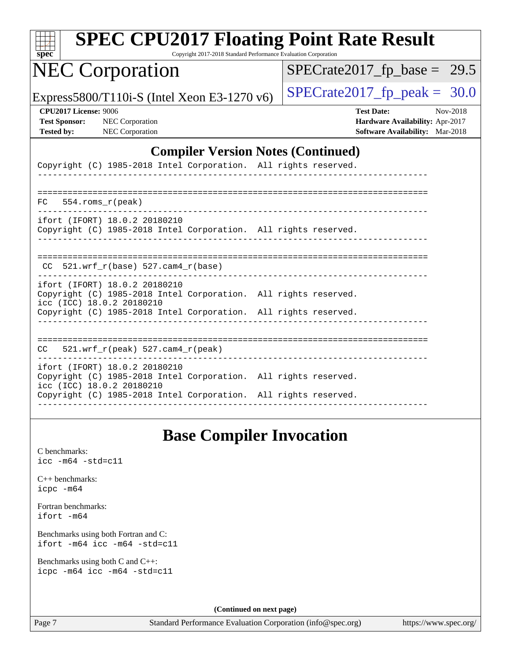| <b>SPEC CPU2017 Floating Point Rate Result</b><br>Copyright 2017-2018 Standard Performance Evaluation Corporation<br>$spec^*$                                                                    |                                                                                                            |
|--------------------------------------------------------------------------------------------------------------------------------------------------------------------------------------------------|------------------------------------------------------------------------------------------------------------|
| <b>NEC Corporation</b>                                                                                                                                                                           | $SPECrate2017_fp\_base = 29.5$                                                                             |
| Express5800/T110i-S (Intel Xeon E3-1270 v6)                                                                                                                                                      | $SPECTate2017$ _fp_peak = 30.0                                                                             |
| <b>CPU2017 License: 9006</b><br><b>Test Sponsor:</b><br>NEC Corporation<br><b>NEC Corporation</b><br><b>Tested by:</b>                                                                           | <b>Test Date:</b><br>Nov-2018<br>Hardware Availability: Apr-2017<br><b>Software Availability:</b> Mar-2018 |
| <b>Compiler Version Notes (Continued)</b>                                                                                                                                                        |                                                                                                            |
| Copyright (C) 1985-2018 Intel Corporation. All rights reserved.                                                                                                                                  |                                                                                                            |
| 554.roms r(peak)<br>FC.                                                                                                                                                                          |                                                                                                            |
| ifort (IFORT) 18.0.2 20180210<br>Copyright (C) 1985-2018 Intel Corporation. All rights reserved.                                                                                                 |                                                                                                            |
| $CC$ 521.wrf_ $r(base)$ 527.cam4_ $r(base)$                                                                                                                                                      |                                                                                                            |
| ifort (IFORT) 18.0.2 20180210<br>Copyright (C) 1985-2018 Intel Corporation. All rights reserved.<br>icc (ICC) 18.0.2 20180210<br>Copyright (C) 1985-2018 Intel Corporation. All rights reserved. |                                                                                                            |
|                                                                                                                                                                                                  |                                                                                                            |
| $521.wrf_r(peak) 527.cam4_r(peak)$<br>CC.                                                                                                                                                        |                                                                                                            |
| ifort (IFORT) 18.0.2 20180210<br>Copyright (C) 1985-2018 Intel Corporation. All rights reserved.<br>icc (ICC) 18.0.2 20180210                                                                    |                                                                                                            |
| Copyright (C) 1985-2018 Intel Corporation. All rights reserved.                                                                                                                                  |                                                                                                            |

## **[Base Compiler Invocation](http://www.spec.org/auto/cpu2017/Docs/result-fields.html#BaseCompilerInvocation)**

[C benchmarks](http://www.spec.org/auto/cpu2017/Docs/result-fields.html#Cbenchmarks): [icc -m64 -std=c11](http://www.spec.org/cpu2017/results/res2018q4/cpu2017-20181112-09516.flags.html#user_CCbase_intel_icc_64bit_c11_33ee0cdaae7deeeab2a9725423ba97205ce30f63b9926c2519791662299b76a0318f32ddfffdc46587804de3178b4f9328c46fa7c2b0cd779d7a61945c91cd35)

[C++ benchmarks:](http://www.spec.org/auto/cpu2017/Docs/result-fields.html#CXXbenchmarks) [icpc -m64](http://www.spec.org/cpu2017/results/res2018q4/cpu2017-20181112-09516.flags.html#user_CXXbase_intel_icpc_64bit_4ecb2543ae3f1412ef961e0650ca070fec7b7afdcd6ed48761b84423119d1bf6bdf5cad15b44d48e7256388bc77273b966e5eb805aefd121eb22e9299b2ec9d9)

[Fortran benchmarks](http://www.spec.org/auto/cpu2017/Docs/result-fields.html#Fortranbenchmarks): [ifort -m64](http://www.spec.org/cpu2017/results/res2018q4/cpu2017-20181112-09516.flags.html#user_FCbase_intel_ifort_64bit_24f2bb282fbaeffd6157abe4f878425411749daecae9a33200eee2bee2fe76f3b89351d69a8130dd5949958ce389cf37ff59a95e7a40d588e8d3a57e0c3fd751)

[Benchmarks using both Fortran and C](http://www.spec.org/auto/cpu2017/Docs/result-fields.html#BenchmarksusingbothFortranandC): [ifort -m64](http://www.spec.org/cpu2017/results/res2018q4/cpu2017-20181112-09516.flags.html#user_CC_FCbase_intel_ifort_64bit_24f2bb282fbaeffd6157abe4f878425411749daecae9a33200eee2bee2fe76f3b89351d69a8130dd5949958ce389cf37ff59a95e7a40d588e8d3a57e0c3fd751) [icc -m64 -std=c11](http://www.spec.org/cpu2017/results/res2018q4/cpu2017-20181112-09516.flags.html#user_CC_FCbase_intel_icc_64bit_c11_33ee0cdaae7deeeab2a9725423ba97205ce30f63b9926c2519791662299b76a0318f32ddfffdc46587804de3178b4f9328c46fa7c2b0cd779d7a61945c91cd35)

[Benchmarks using both C and C++](http://www.spec.org/auto/cpu2017/Docs/result-fields.html#BenchmarksusingbothCandCXX): [icpc -m64](http://www.spec.org/cpu2017/results/res2018q4/cpu2017-20181112-09516.flags.html#user_CC_CXXbase_intel_icpc_64bit_4ecb2543ae3f1412ef961e0650ca070fec7b7afdcd6ed48761b84423119d1bf6bdf5cad15b44d48e7256388bc77273b966e5eb805aefd121eb22e9299b2ec9d9) [icc -m64 -std=c11](http://www.spec.org/cpu2017/results/res2018q4/cpu2017-20181112-09516.flags.html#user_CC_CXXbase_intel_icc_64bit_c11_33ee0cdaae7deeeab2a9725423ba97205ce30f63b9926c2519791662299b76a0318f32ddfffdc46587804de3178b4f9328c46fa7c2b0cd779d7a61945c91cd35)

**(Continued on next page)**

Page 7 Standard Performance Evaluation Corporation [\(info@spec.org\)](mailto:info@spec.org) <https://www.spec.org/>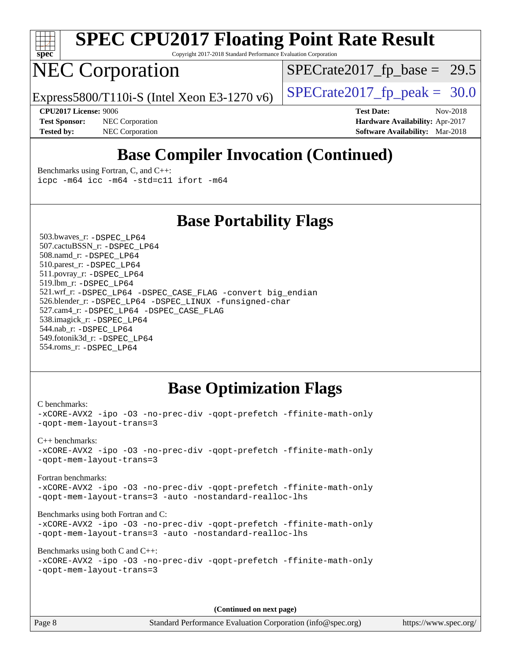

Copyright 2017-2018 Standard Performance Evaluation Corporation

# NEC Corporation

 $SPECTate2017_fp\_base = 29.5$ 

Express5800/T110i-S (Intel Xeon E3-1270 v6)  $\left|$  [SPECrate2017\\_fp\\_peak =](http://www.spec.org/auto/cpu2017/Docs/result-fields.html#SPECrate2017fppeak) 30.0

**[Tested by:](http://www.spec.org/auto/cpu2017/Docs/result-fields.html#Testedby)** NEC Corporation **[Software Availability:](http://www.spec.org/auto/cpu2017/Docs/result-fields.html#SoftwareAvailability)** Mar-2018

**[CPU2017 License:](http://www.spec.org/auto/cpu2017/Docs/result-fields.html#CPU2017License)** 9006 **[Test Date:](http://www.spec.org/auto/cpu2017/Docs/result-fields.html#TestDate)** Nov-2018 **[Test Sponsor:](http://www.spec.org/auto/cpu2017/Docs/result-fields.html#TestSponsor)** NEC Corporation **[Hardware Availability:](http://www.spec.org/auto/cpu2017/Docs/result-fields.html#HardwareAvailability)** Apr-2017

## **[Base Compiler Invocation \(Continued\)](http://www.spec.org/auto/cpu2017/Docs/result-fields.html#BaseCompilerInvocation)**

[Benchmarks using Fortran, C, and C++:](http://www.spec.org/auto/cpu2017/Docs/result-fields.html#BenchmarksusingFortranCandCXX) [icpc -m64](http://www.spec.org/cpu2017/results/res2018q4/cpu2017-20181112-09516.flags.html#user_CC_CXX_FCbase_intel_icpc_64bit_4ecb2543ae3f1412ef961e0650ca070fec7b7afdcd6ed48761b84423119d1bf6bdf5cad15b44d48e7256388bc77273b966e5eb805aefd121eb22e9299b2ec9d9) [icc -m64 -std=c11](http://www.spec.org/cpu2017/results/res2018q4/cpu2017-20181112-09516.flags.html#user_CC_CXX_FCbase_intel_icc_64bit_c11_33ee0cdaae7deeeab2a9725423ba97205ce30f63b9926c2519791662299b76a0318f32ddfffdc46587804de3178b4f9328c46fa7c2b0cd779d7a61945c91cd35) [ifort -m64](http://www.spec.org/cpu2017/results/res2018q4/cpu2017-20181112-09516.flags.html#user_CC_CXX_FCbase_intel_ifort_64bit_24f2bb282fbaeffd6157abe4f878425411749daecae9a33200eee2bee2fe76f3b89351d69a8130dd5949958ce389cf37ff59a95e7a40d588e8d3a57e0c3fd751)

### **[Base Portability Flags](http://www.spec.org/auto/cpu2017/Docs/result-fields.html#BasePortabilityFlags)**

 503.bwaves\_r: [-DSPEC\\_LP64](http://www.spec.org/cpu2017/results/res2018q4/cpu2017-20181112-09516.flags.html#suite_basePORTABILITY503_bwaves_r_DSPEC_LP64) 507.cactuBSSN\_r: [-DSPEC\\_LP64](http://www.spec.org/cpu2017/results/res2018q4/cpu2017-20181112-09516.flags.html#suite_basePORTABILITY507_cactuBSSN_r_DSPEC_LP64) 508.namd\_r: [-DSPEC\\_LP64](http://www.spec.org/cpu2017/results/res2018q4/cpu2017-20181112-09516.flags.html#suite_basePORTABILITY508_namd_r_DSPEC_LP64) 510.parest\_r: [-DSPEC\\_LP64](http://www.spec.org/cpu2017/results/res2018q4/cpu2017-20181112-09516.flags.html#suite_basePORTABILITY510_parest_r_DSPEC_LP64) 511.povray\_r: [-DSPEC\\_LP64](http://www.spec.org/cpu2017/results/res2018q4/cpu2017-20181112-09516.flags.html#suite_basePORTABILITY511_povray_r_DSPEC_LP64) 519.lbm\_r: [-DSPEC\\_LP64](http://www.spec.org/cpu2017/results/res2018q4/cpu2017-20181112-09516.flags.html#suite_basePORTABILITY519_lbm_r_DSPEC_LP64) 521.wrf\_r: [-DSPEC\\_LP64](http://www.spec.org/cpu2017/results/res2018q4/cpu2017-20181112-09516.flags.html#suite_basePORTABILITY521_wrf_r_DSPEC_LP64) [-DSPEC\\_CASE\\_FLAG](http://www.spec.org/cpu2017/results/res2018q4/cpu2017-20181112-09516.flags.html#b521.wrf_r_baseCPORTABILITY_DSPEC_CASE_FLAG) [-convert big\\_endian](http://www.spec.org/cpu2017/results/res2018q4/cpu2017-20181112-09516.flags.html#user_baseFPORTABILITY521_wrf_r_convert_big_endian_c3194028bc08c63ac5d04de18c48ce6d347e4e562e8892b8bdbdc0214820426deb8554edfa529a3fb25a586e65a3d812c835984020483e7e73212c4d31a38223) 526.blender\_r: [-DSPEC\\_LP64](http://www.spec.org/cpu2017/results/res2018q4/cpu2017-20181112-09516.flags.html#suite_basePORTABILITY526_blender_r_DSPEC_LP64) [-DSPEC\\_LINUX](http://www.spec.org/cpu2017/results/res2018q4/cpu2017-20181112-09516.flags.html#b526.blender_r_baseCPORTABILITY_DSPEC_LINUX) [-funsigned-char](http://www.spec.org/cpu2017/results/res2018q4/cpu2017-20181112-09516.flags.html#user_baseCPORTABILITY526_blender_r_force_uchar_40c60f00ab013830e2dd6774aeded3ff59883ba5a1fc5fc14077f794d777847726e2a5858cbc7672e36e1b067e7e5c1d9a74f7176df07886a243d7cc18edfe67) 527.cam4\_r: [-DSPEC\\_LP64](http://www.spec.org/cpu2017/results/res2018q4/cpu2017-20181112-09516.flags.html#suite_basePORTABILITY527_cam4_r_DSPEC_LP64) [-DSPEC\\_CASE\\_FLAG](http://www.spec.org/cpu2017/results/res2018q4/cpu2017-20181112-09516.flags.html#b527.cam4_r_baseCPORTABILITY_DSPEC_CASE_FLAG) 538.imagick\_r: [-DSPEC\\_LP64](http://www.spec.org/cpu2017/results/res2018q4/cpu2017-20181112-09516.flags.html#suite_basePORTABILITY538_imagick_r_DSPEC_LP64) 544.nab\_r: [-DSPEC\\_LP64](http://www.spec.org/cpu2017/results/res2018q4/cpu2017-20181112-09516.flags.html#suite_basePORTABILITY544_nab_r_DSPEC_LP64) 549.fotonik3d\_r: [-DSPEC\\_LP64](http://www.spec.org/cpu2017/results/res2018q4/cpu2017-20181112-09516.flags.html#suite_basePORTABILITY549_fotonik3d_r_DSPEC_LP64) 554.roms\_r: [-DSPEC\\_LP64](http://www.spec.org/cpu2017/results/res2018q4/cpu2017-20181112-09516.flags.html#suite_basePORTABILITY554_roms_r_DSPEC_LP64)

## **[Base Optimization Flags](http://www.spec.org/auto/cpu2017/Docs/result-fields.html#BaseOptimizationFlags)**

```
C benchmarks: 
-xCORE-AVX2 -ipo -O3 -no-prec-div -qopt-prefetch -ffinite-math-only
-qopt-mem-layout-trans=3
C++ benchmarks: 
-xCORE-AVX2 -ipo -O3 -no-prec-div -qopt-prefetch -ffinite-math-only
-qopt-mem-layout-trans=3
Fortran benchmarks: 
-xCORE-AVX2 -ipo -O3 -no-prec-div -qopt-prefetch -ffinite-math-only
-qopt-mem-layout-trans=3 -auto -nostandard-realloc-lhs
Benchmarks using both Fortran and C: 
-xCORE-AVX2 -ipo -O3 -no-prec-div -qopt-prefetch -ffinite-math-only
-qopt-mem-layout-trans=3 -auto -nostandard-realloc-lhs
Benchmarks using both C and C++: 
-xCORE-AVX2 -ipo -O3 -no-prec-div -qopt-prefetch -ffinite-math-only
-qopt-mem-layout-trans=3
```
**(Continued on next page)**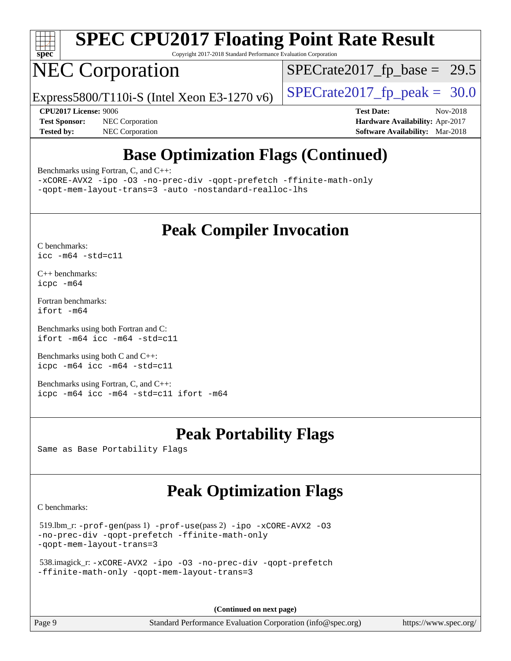

Copyright 2017-2018 Standard Performance Evaluation Corporation

# NEC Corporation

 $SPECTate2017_fp\_base = 29.5$ 

Express5800/T110i-S (Intel Xeon E3-1270 v6)  $\left|$  [SPECrate2017\\_fp\\_peak =](http://www.spec.org/auto/cpu2017/Docs/result-fields.html#SPECrate2017fppeak) 30.0

**[Test Sponsor:](http://www.spec.org/auto/cpu2017/Docs/result-fields.html#TestSponsor)** NEC Corporation **[Hardware Availability:](http://www.spec.org/auto/cpu2017/Docs/result-fields.html#HardwareAvailability)** Apr-2017 **[Tested by:](http://www.spec.org/auto/cpu2017/Docs/result-fields.html#Testedby)** NEC Corporation **[Software Availability:](http://www.spec.org/auto/cpu2017/Docs/result-fields.html#SoftwareAvailability)** Mar-2018

**[CPU2017 License:](http://www.spec.org/auto/cpu2017/Docs/result-fields.html#CPU2017License)** 9006 **[Test Date:](http://www.spec.org/auto/cpu2017/Docs/result-fields.html#TestDate)** Nov-2018

# **[Base Optimization Flags \(Continued\)](http://www.spec.org/auto/cpu2017/Docs/result-fields.html#BaseOptimizationFlags)**

[Benchmarks using Fortran, C, and C++:](http://www.spec.org/auto/cpu2017/Docs/result-fields.html#BenchmarksusingFortranCandCXX)

[-xCORE-AVX2](http://www.spec.org/cpu2017/results/res2018q4/cpu2017-20181112-09516.flags.html#user_CC_CXX_FCbase_f-xCORE-AVX2) [-ipo](http://www.spec.org/cpu2017/results/res2018q4/cpu2017-20181112-09516.flags.html#user_CC_CXX_FCbase_f-ipo) [-O3](http://www.spec.org/cpu2017/results/res2018q4/cpu2017-20181112-09516.flags.html#user_CC_CXX_FCbase_f-O3) [-no-prec-div](http://www.spec.org/cpu2017/results/res2018q4/cpu2017-20181112-09516.flags.html#user_CC_CXX_FCbase_f-no-prec-div) [-qopt-prefetch](http://www.spec.org/cpu2017/results/res2018q4/cpu2017-20181112-09516.flags.html#user_CC_CXX_FCbase_f-qopt-prefetch) [-ffinite-math-only](http://www.spec.org/cpu2017/results/res2018q4/cpu2017-20181112-09516.flags.html#user_CC_CXX_FCbase_f_finite_math_only_cb91587bd2077682c4b38af759c288ed7c732db004271a9512da14a4f8007909a5f1427ecbf1a0fb78ff2a814402c6114ac565ca162485bbcae155b5e4258871) [-qopt-mem-layout-trans=3](http://www.spec.org/cpu2017/results/res2018q4/cpu2017-20181112-09516.flags.html#user_CC_CXX_FCbase_f-qopt-mem-layout-trans_de80db37974c74b1f0e20d883f0b675c88c3b01e9d123adea9b28688d64333345fb62bc4a798493513fdb68f60282f9a726aa07f478b2f7113531aecce732043) [-auto](http://www.spec.org/cpu2017/results/res2018q4/cpu2017-20181112-09516.flags.html#user_CC_CXX_FCbase_f-auto) [-nostandard-realloc-lhs](http://www.spec.org/cpu2017/results/res2018q4/cpu2017-20181112-09516.flags.html#user_CC_CXX_FCbase_f_2003_std_realloc_82b4557e90729c0f113870c07e44d33d6f5a304b4f63d4c15d2d0f1fab99f5daaed73bdb9275d9ae411527f28b936061aa8b9c8f2d63842963b95c9dd6426b8a)

## **[Peak Compiler Invocation](http://www.spec.org/auto/cpu2017/Docs/result-fields.html#PeakCompilerInvocation)**

[C benchmarks](http://www.spec.org/auto/cpu2017/Docs/result-fields.html#Cbenchmarks): [icc -m64 -std=c11](http://www.spec.org/cpu2017/results/res2018q4/cpu2017-20181112-09516.flags.html#user_CCpeak_intel_icc_64bit_c11_33ee0cdaae7deeeab2a9725423ba97205ce30f63b9926c2519791662299b76a0318f32ddfffdc46587804de3178b4f9328c46fa7c2b0cd779d7a61945c91cd35)

[C++ benchmarks:](http://www.spec.org/auto/cpu2017/Docs/result-fields.html#CXXbenchmarks) [icpc -m64](http://www.spec.org/cpu2017/results/res2018q4/cpu2017-20181112-09516.flags.html#user_CXXpeak_intel_icpc_64bit_4ecb2543ae3f1412ef961e0650ca070fec7b7afdcd6ed48761b84423119d1bf6bdf5cad15b44d48e7256388bc77273b966e5eb805aefd121eb22e9299b2ec9d9)

[Fortran benchmarks](http://www.spec.org/auto/cpu2017/Docs/result-fields.html#Fortranbenchmarks): [ifort -m64](http://www.spec.org/cpu2017/results/res2018q4/cpu2017-20181112-09516.flags.html#user_FCpeak_intel_ifort_64bit_24f2bb282fbaeffd6157abe4f878425411749daecae9a33200eee2bee2fe76f3b89351d69a8130dd5949958ce389cf37ff59a95e7a40d588e8d3a57e0c3fd751)

[Benchmarks using both Fortran and C](http://www.spec.org/auto/cpu2017/Docs/result-fields.html#BenchmarksusingbothFortranandC): [ifort -m64](http://www.spec.org/cpu2017/results/res2018q4/cpu2017-20181112-09516.flags.html#user_CC_FCpeak_intel_ifort_64bit_24f2bb282fbaeffd6157abe4f878425411749daecae9a33200eee2bee2fe76f3b89351d69a8130dd5949958ce389cf37ff59a95e7a40d588e8d3a57e0c3fd751) [icc -m64 -std=c11](http://www.spec.org/cpu2017/results/res2018q4/cpu2017-20181112-09516.flags.html#user_CC_FCpeak_intel_icc_64bit_c11_33ee0cdaae7deeeab2a9725423ba97205ce30f63b9926c2519791662299b76a0318f32ddfffdc46587804de3178b4f9328c46fa7c2b0cd779d7a61945c91cd35)

[Benchmarks using both C and C++](http://www.spec.org/auto/cpu2017/Docs/result-fields.html#BenchmarksusingbothCandCXX): [icpc -m64](http://www.spec.org/cpu2017/results/res2018q4/cpu2017-20181112-09516.flags.html#user_CC_CXXpeak_intel_icpc_64bit_4ecb2543ae3f1412ef961e0650ca070fec7b7afdcd6ed48761b84423119d1bf6bdf5cad15b44d48e7256388bc77273b966e5eb805aefd121eb22e9299b2ec9d9) [icc -m64 -std=c11](http://www.spec.org/cpu2017/results/res2018q4/cpu2017-20181112-09516.flags.html#user_CC_CXXpeak_intel_icc_64bit_c11_33ee0cdaae7deeeab2a9725423ba97205ce30f63b9926c2519791662299b76a0318f32ddfffdc46587804de3178b4f9328c46fa7c2b0cd779d7a61945c91cd35)

[Benchmarks using Fortran, C, and C++:](http://www.spec.org/auto/cpu2017/Docs/result-fields.html#BenchmarksusingFortranCandCXX) [icpc -m64](http://www.spec.org/cpu2017/results/res2018q4/cpu2017-20181112-09516.flags.html#user_CC_CXX_FCpeak_intel_icpc_64bit_4ecb2543ae3f1412ef961e0650ca070fec7b7afdcd6ed48761b84423119d1bf6bdf5cad15b44d48e7256388bc77273b966e5eb805aefd121eb22e9299b2ec9d9) [icc -m64 -std=c11](http://www.spec.org/cpu2017/results/res2018q4/cpu2017-20181112-09516.flags.html#user_CC_CXX_FCpeak_intel_icc_64bit_c11_33ee0cdaae7deeeab2a9725423ba97205ce30f63b9926c2519791662299b76a0318f32ddfffdc46587804de3178b4f9328c46fa7c2b0cd779d7a61945c91cd35) [ifort -m64](http://www.spec.org/cpu2017/results/res2018q4/cpu2017-20181112-09516.flags.html#user_CC_CXX_FCpeak_intel_ifort_64bit_24f2bb282fbaeffd6157abe4f878425411749daecae9a33200eee2bee2fe76f3b89351d69a8130dd5949958ce389cf37ff59a95e7a40d588e8d3a57e0c3fd751)

## **[Peak Portability Flags](http://www.spec.org/auto/cpu2017/Docs/result-fields.html#PeakPortabilityFlags)**

Same as Base Portability Flags

## **[Peak Optimization Flags](http://www.spec.org/auto/cpu2017/Docs/result-fields.html#PeakOptimizationFlags)**

[C benchmarks](http://www.spec.org/auto/cpu2017/Docs/result-fields.html#Cbenchmarks):

```
 519.lbm_r: -prof-gen(pass 1) -prof-use(pass 2) -ipo -xCORE-AVX2 -O3
-no-prec-div -qopt-prefetch -ffinite-math-only
-qopt-mem-layout-trans=3
```

```
 538.imagick_r: -xCORE-AVX2 -ipo -O3 -no-prec-div -qopt-prefetch
-ffinite-math-only -qopt-mem-layout-trans=3
```
**(Continued on next page)**

Page 9 Standard Performance Evaluation Corporation [\(info@spec.org\)](mailto:info@spec.org) <https://www.spec.org/>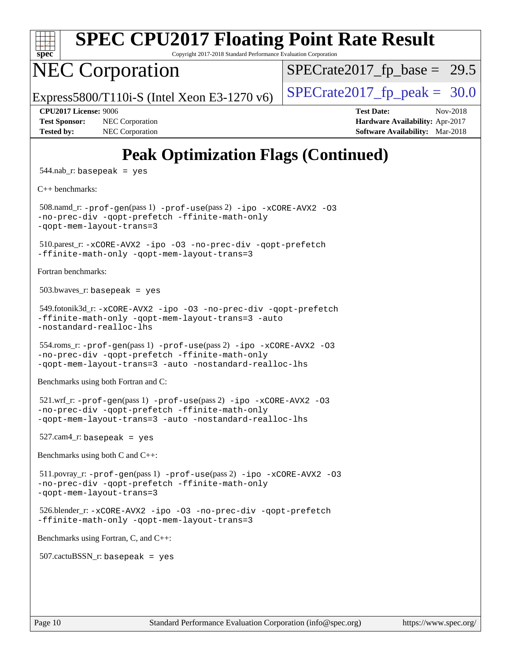

Copyright 2017-2018 Standard Performance Evaluation Corporation

# NEC Corporation

 $SPECTate2017_fp\_base = 29.5$ 

Express5800/T110i-S (Intel Xeon E3-1270 v6)  $\left|$  [SPECrate2017\\_fp\\_peak =](http://www.spec.org/auto/cpu2017/Docs/result-fields.html#SPECrate2017fppeak) 30.0

**[Test Sponsor:](http://www.spec.org/auto/cpu2017/Docs/result-fields.html#TestSponsor)** NEC Corporation **[Hardware Availability:](http://www.spec.org/auto/cpu2017/Docs/result-fields.html#HardwareAvailability)** Apr-2017 **[Tested by:](http://www.spec.org/auto/cpu2017/Docs/result-fields.html#Testedby)** NEC Corporation **[Software Availability:](http://www.spec.org/auto/cpu2017/Docs/result-fields.html#SoftwareAvailability)** Mar-2018

**[CPU2017 License:](http://www.spec.org/auto/cpu2017/Docs/result-fields.html#CPU2017License)** 9006 **[Test Date:](http://www.spec.org/auto/cpu2017/Docs/result-fields.html#TestDate)** Nov-2018

# **[Peak Optimization Flags \(Continued\)](http://www.spec.org/auto/cpu2017/Docs/result-fields.html#PeakOptimizationFlags)**

 $544$ .nab\_r: basepeak = yes

[C++ benchmarks:](http://www.spec.org/auto/cpu2017/Docs/result-fields.html#CXXbenchmarks)

 508.namd\_r: [-prof-gen](http://www.spec.org/cpu2017/results/res2018q4/cpu2017-20181112-09516.flags.html#user_peakPASS1_CXXFLAGSPASS1_LDFLAGS508_namd_r_prof_gen_5aa4926d6013ddb2a31985c654b3eb18169fc0c6952a63635c234f711e6e63dd76e94ad52365559451ec499a2cdb89e4dc58ba4c67ef54ca681ffbe1461d6b36)(pass 1) [-prof-use](http://www.spec.org/cpu2017/results/res2018q4/cpu2017-20181112-09516.flags.html#user_peakPASS2_CXXFLAGSPASS2_LDFLAGS508_namd_r_prof_use_1a21ceae95f36a2b53c25747139a6c16ca95bd9def2a207b4f0849963b97e94f5260e30a0c64f4bb623698870e679ca08317ef8150905d41bd88c6f78df73f19)(pass 2) [-ipo](http://www.spec.org/cpu2017/results/res2018q4/cpu2017-20181112-09516.flags.html#user_peakPASS1_CXXOPTIMIZEPASS2_CXXOPTIMIZE508_namd_r_f-ipo) [-xCORE-AVX2](http://www.spec.org/cpu2017/results/res2018q4/cpu2017-20181112-09516.flags.html#user_peakPASS2_CXXOPTIMIZE508_namd_r_f-xCORE-AVX2) [-O3](http://www.spec.org/cpu2017/results/res2018q4/cpu2017-20181112-09516.flags.html#user_peakPASS1_CXXOPTIMIZEPASS2_CXXOPTIMIZE508_namd_r_f-O3) [-no-prec-div](http://www.spec.org/cpu2017/results/res2018q4/cpu2017-20181112-09516.flags.html#user_peakPASS1_CXXOPTIMIZEPASS2_CXXOPTIMIZE508_namd_r_f-no-prec-div) [-qopt-prefetch](http://www.spec.org/cpu2017/results/res2018q4/cpu2017-20181112-09516.flags.html#user_peakPASS1_CXXOPTIMIZEPASS2_CXXOPTIMIZE508_namd_r_f-qopt-prefetch) [-ffinite-math-only](http://www.spec.org/cpu2017/results/res2018q4/cpu2017-20181112-09516.flags.html#user_peakPASS1_CXXOPTIMIZEPASS2_CXXOPTIMIZE508_namd_r_f_finite_math_only_cb91587bd2077682c4b38af759c288ed7c732db004271a9512da14a4f8007909a5f1427ecbf1a0fb78ff2a814402c6114ac565ca162485bbcae155b5e4258871) [-qopt-mem-layout-trans=3](http://www.spec.org/cpu2017/results/res2018q4/cpu2017-20181112-09516.flags.html#user_peakPASS1_CXXOPTIMIZEPASS2_CXXOPTIMIZE508_namd_r_f-qopt-mem-layout-trans_de80db37974c74b1f0e20d883f0b675c88c3b01e9d123adea9b28688d64333345fb62bc4a798493513fdb68f60282f9a726aa07f478b2f7113531aecce732043)

 510.parest\_r: [-xCORE-AVX2](http://www.spec.org/cpu2017/results/res2018q4/cpu2017-20181112-09516.flags.html#user_peakCXXOPTIMIZE510_parest_r_f-xCORE-AVX2) [-ipo](http://www.spec.org/cpu2017/results/res2018q4/cpu2017-20181112-09516.flags.html#user_peakCXXOPTIMIZE510_parest_r_f-ipo) [-O3](http://www.spec.org/cpu2017/results/res2018q4/cpu2017-20181112-09516.flags.html#user_peakCXXOPTIMIZE510_parest_r_f-O3) [-no-prec-div](http://www.spec.org/cpu2017/results/res2018q4/cpu2017-20181112-09516.flags.html#user_peakCXXOPTIMIZE510_parest_r_f-no-prec-div) [-qopt-prefetch](http://www.spec.org/cpu2017/results/res2018q4/cpu2017-20181112-09516.flags.html#user_peakCXXOPTIMIZE510_parest_r_f-qopt-prefetch) [-ffinite-math-only](http://www.spec.org/cpu2017/results/res2018q4/cpu2017-20181112-09516.flags.html#user_peakCXXOPTIMIZE510_parest_r_f_finite_math_only_cb91587bd2077682c4b38af759c288ed7c732db004271a9512da14a4f8007909a5f1427ecbf1a0fb78ff2a814402c6114ac565ca162485bbcae155b5e4258871) [-qopt-mem-layout-trans=3](http://www.spec.org/cpu2017/results/res2018q4/cpu2017-20181112-09516.flags.html#user_peakCXXOPTIMIZE510_parest_r_f-qopt-mem-layout-trans_de80db37974c74b1f0e20d883f0b675c88c3b01e9d123adea9b28688d64333345fb62bc4a798493513fdb68f60282f9a726aa07f478b2f7113531aecce732043)

[Fortran benchmarks](http://www.spec.org/auto/cpu2017/Docs/result-fields.html#Fortranbenchmarks):

503.bwaves\_r: basepeak = yes

```
 549.fotonik3d_r: -xCORE-AVX2 -ipo -O3 -no-prec-div -qopt-prefetch
-ffinite-math-only -qopt-mem-layout-trans=3 -auto
-nostandard-realloc-lhs
```
 554.roms\_r: [-prof-gen](http://www.spec.org/cpu2017/results/res2018q4/cpu2017-20181112-09516.flags.html#user_peakPASS1_FFLAGSPASS1_LDFLAGS554_roms_r_prof_gen_5aa4926d6013ddb2a31985c654b3eb18169fc0c6952a63635c234f711e6e63dd76e94ad52365559451ec499a2cdb89e4dc58ba4c67ef54ca681ffbe1461d6b36)(pass 1) [-prof-use](http://www.spec.org/cpu2017/results/res2018q4/cpu2017-20181112-09516.flags.html#user_peakPASS2_FFLAGSPASS2_LDFLAGS554_roms_r_prof_use_1a21ceae95f36a2b53c25747139a6c16ca95bd9def2a207b4f0849963b97e94f5260e30a0c64f4bb623698870e679ca08317ef8150905d41bd88c6f78df73f19)(pass 2) [-ipo](http://www.spec.org/cpu2017/results/res2018q4/cpu2017-20181112-09516.flags.html#user_peakPASS1_FOPTIMIZEPASS2_FOPTIMIZE554_roms_r_f-ipo) [-xCORE-AVX2](http://www.spec.org/cpu2017/results/res2018q4/cpu2017-20181112-09516.flags.html#user_peakPASS2_FOPTIMIZE554_roms_r_f-xCORE-AVX2) [-O3](http://www.spec.org/cpu2017/results/res2018q4/cpu2017-20181112-09516.flags.html#user_peakPASS1_FOPTIMIZEPASS2_FOPTIMIZE554_roms_r_f-O3) [-no-prec-div](http://www.spec.org/cpu2017/results/res2018q4/cpu2017-20181112-09516.flags.html#user_peakPASS1_FOPTIMIZEPASS2_FOPTIMIZE554_roms_r_f-no-prec-div) [-qopt-prefetch](http://www.spec.org/cpu2017/results/res2018q4/cpu2017-20181112-09516.flags.html#user_peakPASS1_FOPTIMIZEPASS2_FOPTIMIZE554_roms_r_f-qopt-prefetch) [-ffinite-math-only](http://www.spec.org/cpu2017/results/res2018q4/cpu2017-20181112-09516.flags.html#user_peakPASS1_FOPTIMIZEPASS2_FOPTIMIZE554_roms_r_f_finite_math_only_cb91587bd2077682c4b38af759c288ed7c732db004271a9512da14a4f8007909a5f1427ecbf1a0fb78ff2a814402c6114ac565ca162485bbcae155b5e4258871) [-qopt-mem-layout-trans=3](http://www.spec.org/cpu2017/results/res2018q4/cpu2017-20181112-09516.flags.html#user_peakPASS1_FOPTIMIZEPASS2_FOPTIMIZE554_roms_r_f-qopt-mem-layout-trans_de80db37974c74b1f0e20d883f0b675c88c3b01e9d123adea9b28688d64333345fb62bc4a798493513fdb68f60282f9a726aa07f478b2f7113531aecce732043) [-auto](http://www.spec.org/cpu2017/results/res2018q4/cpu2017-20181112-09516.flags.html#user_peakPASS2_FOPTIMIZE554_roms_r_f-auto) [-nostandard-realloc-lhs](http://www.spec.org/cpu2017/results/res2018q4/cpu2017-20181112-09516.flags.html#user_peakEXTRA_FOPTIMIZE554_roms_r_f_2003_std_realloc_82b4557e90729c0f113870c07e44d33d6f5a304b4f63d4c15d2d0f1fab99f5daaed73bdb9275d9ae411527f28b936061aa8b9c8f2d63842963b95c9dd6426b8a)

[Benchmarks using both Fortran and C](http://www.spec.org/auto/cpu2017/Docs/result-fields.html#BenchmarksusingbothFortranandC):

```
 521.wrf_r: -prof-gen(pass 1) -prof-use(pass 2) -ipo -xCORE-AVX2 -O3
-no-prec-div -qopt-prefetch -ffinite-math-only
-qopt-mem-layout-trans=3 -auto -nostandard-realloc-lhs
```
 $527$ .cam $4$ \_r: basepeak = yes

[Benchmarks using both C and C++](http://www.spec.org/auto/cpu2017/Docs/result-fields.html#BenchmarksusingbothCandCXX):

```
 511.povray_r: -prof-gen(pass 1) -prof-use(pass 2) -ipo -xCORE-AVX2 -O3
-no-prec-div -qopt-prefetch -ffinite-math-only
-qopt-mem-layout-trans=3
```
 526.blender\_r: [-xCORE-AVX2](http://www.spec.org/cpu2017/results/res2018q4/cpu2017-20181112-09516.flags.html#user_peakCOPTIMIZECXXOPTIMIZE526_blender_r_f-xCORE-AVX2) [-ipo](http://www.spec.org/cpu2017/results/res2018q4/cpu2017-20181112-09516.flags.html#user_peakCOPTIMIZECXXOPTIMIZE526_blender_r_f-ipo) [-O3](http://www.spec.org/cpu2017/results/res2018q4/cpu2017-20181112-09516.flags.html#user_peakCOPTIMIZECXXOPTIMIZE526_blender_r_f-O3) [-no-prec-div](http://www.spec.org/cpu2017/results/res2018q4/cpu2017-20181112-09516.flags.html#user_peakCOPTIMIZECXXOPTIMIZE526_blender_r_f-no-prec-div) [-qopt-prefetch](http://www.spec.org/cpu2017/results/res2018q4/cpu2017-20181112-09516.flags.html#user_peakCOPTIMIZECXXOPTIMIZE526_blender_r_f-qopt-prefetch) [-ffinite-math-only](http://www.spec.org/cpu2017/results/res2018q4/cpu2017-20181112-09516.flags.html#user_peakCOPTIMIZECXXOPTIMIZE526_blender_r_f_finite_math_only_cb91587bd2077682c4b38af759c288ed7c732db004271a9512da14a4f8007909a5f1427ecbf1a0fb78ff2a814402c6114ac565ca162485bbcae155b5e4258871) [-qopt-mem-layout-trans=3](http://www.spec.org/cpu2017/results/res2018q4/cpu2017-20181112-09516.flags.html#user_peakCOPTIMIZECXXOPTIMIZE526_blender_r_f-qopt-mem-layout-trans_de80db37974c74b1f0e20d883f0b675c88c3b01e9d123adea9b28688d64333345fb62bc4a798493513fdb68f60282f9a726aa07f478b2f7113531aecce732043)

[Benchmarks using Fortran, C, and C++:](http://www.spec.org/auto/cpu2017/Docs/result-fields.html#BenchmarksusingFortranCandCXX)

507.cactuBSSN\_r: basepeak = yes